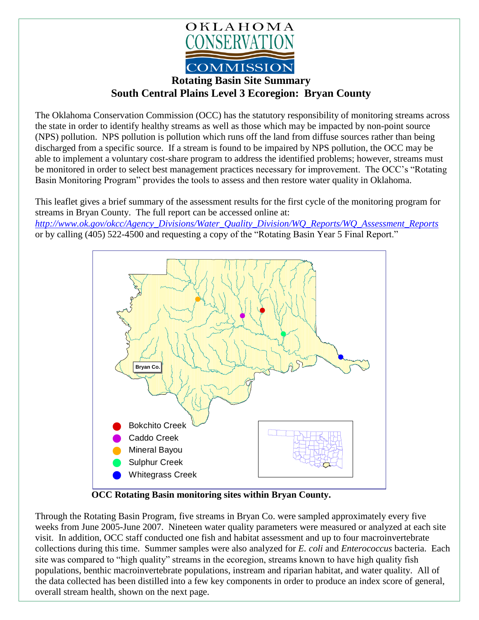

## **Rotating Basin Site Summary South Central Plains Level 3 Ecoregion: Bryan County**

The Oklahoma Conservation Commission (OCC) has the statutory responsibility of monitoring streams across the state in order to identify healthy streams as well as those which may be impacted by non-point source (NPS) pollution. NPS pollution is pollution which runs off the land from diffuse sources rather than being discharged from a specific source. If a stream is found to be impaired by NPS pollution, the OCC may be able to implement a voluntary cost-share program to address the identified problems; however, streams must be monitored in order to select best management practices necessary for improvement. The OCC's "Rotating Basin Monitoring Program" provides the tools to assess and then restore water quality in Oklahoma.

This leaflet gives a brief summary of the assessment results for the first cycle of the monitoring program for streams in Bryan County. The full report can be accessed online at: *[http://www.ok.gov/okcc/Agency\\_Divisions/Water\\_Quality\\_Division/WQ\\_Reports/WQ\\_Assessment\\_Reports](http://www.ok.gov/okcc/Agency_Divisions/Water_Quality_Division/WQ_Reports/WQ_Assessment_Reports)* or by calling (405) 522-4500 and requesting a copy of the "Rotating Basin Year 5 Final Report."



 **OCC Rotating Basin monitoring sites within Bryan County.**

Through the Rotating Basin Program, five streams in Bryan Co. were sampled approximately every five weeks from June 2005-June 2007. Nineteen water quality parameters were measured or analyzed at each site visit. In addition, OCC staff conducted one fish and habitat assessment and up to four macroinvertebrate collections during this time. Summer samples were also analyzed for *E. coli* and *Enterococcus* bacteria. Each site was compared to "high quality" streams in the ecoregion, streams known to have high quality fish populations, benthic macroinvertebrate populations, instream and riparian habitat, and water quality. All of the data collected has been distilled into a few key components in order to produce an index score of general, overall stream health, shown on the next page.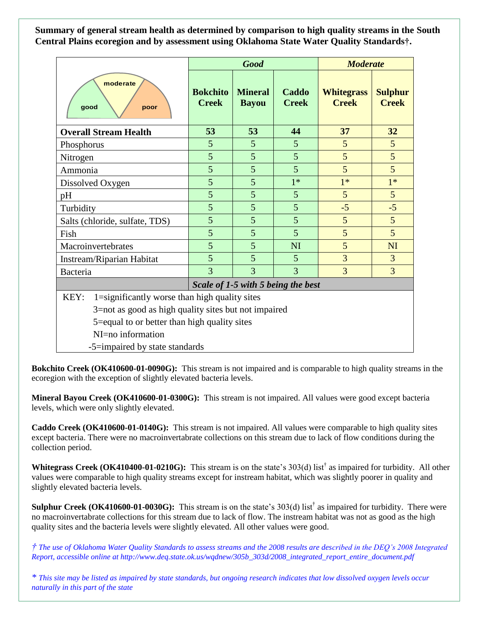**Summary of general stream health as determined by comparison to high quality streams in the South Central Plains ecoregion and by assessment using Oklahoma State Water Quality Standards†.**

|                                                       | <b>Good</b>                        |                                |                       | <b>Moderate</b>                   |                                |
|-------------------------------------------------------|------------------------------------|--------------------------------|-----------------------|-----------------------------------|--------------------------------|
| moderate<br>good<br>poor                              | <b>Bokchito</b><br><b>Creek</b>    | <b>Mineral</b><br><b>Bayou</b> | Caddo<br><b>Creek</b> | <b>Whitegrass</b><br><b>Creek</b> | <b>Sulphur</b><br><b>Creek</b> |
| <b>Overall Stream Health</b>                          | 53                                 | 53                             | 44                    | 37                                | 32                             |
| Phosphorus                                            | 5                                  | 5                              | 5                     | 5                                 | 5                              |
| Nitrogen                                              | 5                                  | 5                              | 5                     | 5                                 | 5                              |
| Ammonia                                               | 5                                  | 5                              | 5                     | 5                                 | 5                              |
| Dissolved Oxygen                                      | 5                                  | 5                              | $1*$                  | $1*$                              | $1*$                           |
| pH                                                    | 5                                  | 5                              | 5                     | 5                                 | $5\overline{)}$                |
| Turbidity                                             | 5                                  | 5                              | 5                     | $-5$                              | $-5$                           |
| Salts (chloride, sulfate, TDS)                        | 5                                  | 5                              | 5                     | 5                                 | 5                              |
| Fish                                                  | 5                                  | 5                              | 5                     | 5                                 | 5                              |
| Macroinvertebrates                                    | 5                                  | 5                              | <b>NI</b>             | 5                                 | NI                             |
| Instream/Riparian Habitat                             | $\overline{5}$                     | 5                              | 5                     | $\overline{3}$                    | 3                              |
| Bacteria                                              | 3                                  | 3                              | 3                     | 3                                 | 3                              |
|                                                       | Scale of 1-5 with 5 being the best |                                |                       |                                   |                                |
| KEY:<br>1=significantly worse than high quality sites |                                    |                                |                       |                                   |                                |
| 3=not as good as high quality sites but not impaired  |                                    |                                |                       |                                   |                                |
| 5=equal to or better than high quality sites          |                                    |                                |                       |                                   |                                |
| NI=no information                                     |                                    |                                |                       |                                   |                                |
| -5=impaired by state standards                        |                                    |                                |                       |                                   |                                |

**Bokchito Creek (OK410600-01-0090G):** This stream is not impaired and is comparable to high quality streams in the ecoregion with the exception of slightly elevated bacteria levels.

**Mineral Bayou Creek (OK410600-01-0300G):** This stream is not impaired. All values were good except bacteria levels, which were only slightly elevated.

**Caddo Creek (OK410600-01-0140G):** This stream is not impaired. All values were comparable to high quality sites except bacteria. There were no macroinvertabrate collections on this stream due to lack of flow conditions during the collection period.

Whitegrass Creek (OK410400-01-0210G): This stream is on the state's 303(d) list<sup>†</sup> as impaired for turbidity. All other values were comparable to high quality streams except for instream habitat, which was slightly poorer in quality and slightly elevated bacteria levels.

**Sulphur Creek (OK410600-01-0030G):** This stream is on the state's 303(d) list<sup>†</sup> as impaired for turbidity. There were no macroinvertabrate collections for this stream due to lack of flow. The instream habitat was not as good as the high quality sites and the bacteria levels were slightly elevated. All other values were good.

*† The use of Oklahoma Water Quality Standards to assess streams and the 2008 results are described in the DEQ's 2008 Integrated Report, accessible online at http://www.deq.state.ok.us/wqdnew/305b\_303d/2008\_integrated\_report\_entire\_document.pdf*

*\* This site may be listed as impaired by state standards, but ongoing research indicates that low dissolved oxygen levels occur naturally in this part of the state*